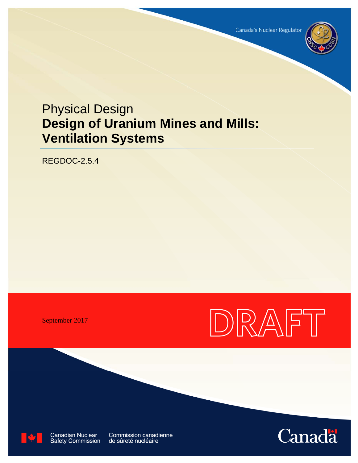

# Physical Design **Design of Uranium Mines and Mills: Ventilation Systems**

REGDOC-2.5.4

September 2017





**Canadian Nuclear** Safety Commission Commission canadienne de sûreté nucléaire

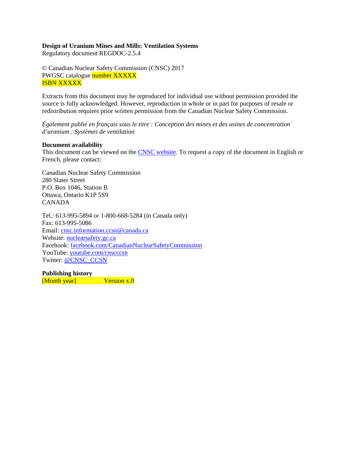#### **Design of Uranium Mines and Mills: Ventilation Systems**

Regulatory document REGDOC-2.5.4

© Canadian Nuclear Safety Commission (CNSC) 2017 PWGSC catalogue number XXXXX ISBN XXXXX

Extracts from this document may be reproduced for individual use without permission provided the source is fully acknowledged. However, reproduction in whole or in part for purposes of resale or redistribution requires prior written permission from the Canadian Nuclear Safety Commission.

*Également publié en français sous le titre : Conception des mines et des usines de concentration d'uranium : Systèmes de ventilation* 

#### **Document availability**

This document can be viewed on the CNSC website. To request a copy of the document in English or French, please contact:

Canadian Nuclear Safety Commission 280 Slater Street P.O. Box 1046, Station B Ottawa, Ontario K1P 5S9 CANADA

Tel.: 613-995-5894 or 1-800-668-5284 (in Canada only) Fax: 613-995-5086 Email: cnsc.information.ccsn@canada.ca Website: nuclearsafety.gc.ca Facebook: facebook.com/CanadianNuclearSafetyCommission YouTube: youtube.com/cnscccsn Twitter: @CNSC\_CCSN

**Publishing history**  [Month year] Version x.0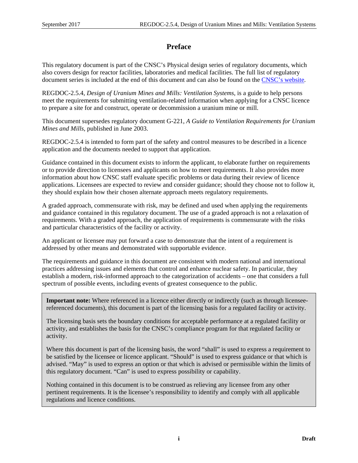# **Preface**

This regulatory document is part of the CNSC's Physical design series of regulatory documents, which also covers design for reactor facilities, laboratories and medical facilities. The full list of regulatory document series is included at the end of this document and can also be found on the CNSC's website.

REGDOC-2.5.4, *Design of Uranium Mines and Mills: Ventilation Systems*, is a guide to help persons meet the requirements for submitting ventilation-related information when applying for a CNSC licence to prepare a site for and construct, operate or decommission a uranium mine or mill.

This document supersedes regulatory document G-221, *A Guide to Ventilation Requirements for Uranium Mines and Mills*, published in June 2003.

REGDOC-2.5.4 is intended to form part of the safety and control measures to be described in a licence application and the documents needed to support that application.

Guidance contained in this document exists to inform the applicant, to elaborate further on requirements or to provide direction to licensees and applicants on how to meet requirements. It also provides more information about how CNSC staff evaluate specific problems or data during their review of licence applications. Licensees are expected to review and consider guidance; should they choose not to follow it, they should explain how their chosen alternate approach meets regulatory requirements.

A graded approach, commensurate with risk, may be defined and used when applying the requirements and guidance contained in this regulatory document. The use of a graded approach is not a relaxation of requirements. With a graded approach, the application of requirements is commensurate with the risks and particular characteristics of the facility or activity.

An applicant or licensee may put forward a case to demonstrate that the intent of a requirement is addressed by other means and demonstrated with supportable evidence.

The requirements and guidance in this document are consistent with modern national and international practices addressing issues and elements that control and enhance nuclear safety. In particular, they establish a modern, risk-informed approach to the categorization of accidents – one that considers a full spectrum of possible events, including events of greatest consequence to the public.

**Important note:** Where referenced in a licence either directly or indirectly (such as through licenseereferenced documents), this document is part of the licensing basis for a regulated facility or activity.

The licensing basis sets the boundary conditions for acceptable performance at a regulated facility or activity, and establishes the basis for the CNSC's compliance program for that regulated facility or activity.

Where this document is part of the licensing basis, the word "shall" is used to express a requirement to be satisfied by the licensee or licence applicant. "Should" is used to express guidance or that which is advised. "May" is used to express an option or that which is advised or permissible within the limits of this regulatory document. "Can" is used to express possibility or capability.

Nothing contained in this document is to be construed as relieving any licensee from any other pertinent requirements. It is the licensee's responsibility to identify and comply with all applicable regulations and licence conditions.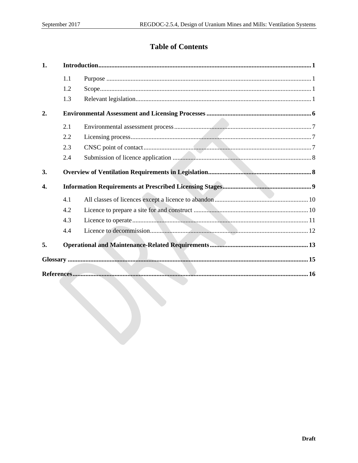# **Table of Contents**

| 1. |     |  |
|----|-----|--|
|    | 1.1 |  |
|    | 1.2 |  |
|    | 1.3 |  |
| 2. |     |  |
|    | 2.1 |  |
|    | 2.2 |  |
|    | 2.3 |  |
|    | 2.4 |  |
| 3. |     |  |
| 4. |     |  |
|    | 4.1 |  |
|    | 4.2 |  |
|    | 4.3 |  |
|    | 4.4 |  |
| 5. |     |  |
|    |     |  |
|    |     |  |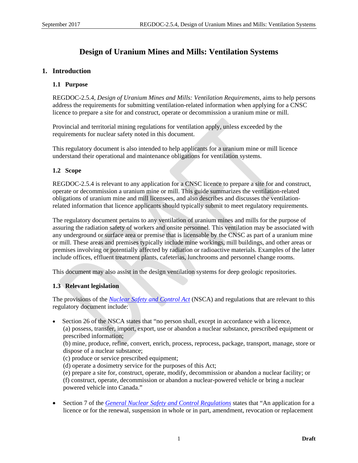# **Design of Uranium Mines and Mills: Ventilation Systems**

#### **1. Introduction**

#### **1.1 Purpose**

REGDOC-2.5.4, *Design of Uranium Mines and Mills: Ventilation Requirements*, aims to help persons address the requirements for submitting ventilation-related information when applying for a CNSC licence to prepare a site for and construct, operate or decommission a uranium mine or mill.

Provincial and territorial mining regulations for ventilation apply, unless exceeded by the requirements for nuclear safety noted in this document.

This regulatory document is also intended to help applicants for a uranium mine or mill licence understand their operational and maintenance obligations for ventilation systems.

#### **1.2 Scope**

REGDOC-2.5.4 is relevant to any application for a CNSC licence to prepare a site for and construct, operate or decommission a uranium mine or mill. This guide summarizes the ventilation-related obligations of uranium mine and mill licensees, and also describes and discusses the ventilationrelated information that licence applicants should typically submit to meet regulatory requirements.

The regulatory document pertains to any ventilation of uranium mines and mills for the purpose of assuring the radiation safety of workers and onsite personnel. This ventilation may be associated with any underground or surface area or premise that is licensable by the CNSC as part of a uranium mine or mill. These areas and premises typically include mine workings, mill buildings, and other areas or premises involving or potentially affected by radiation or radioactive materials. Examples of the latter include offices, effluent treatment plants, cafeterias, lunchrooms and personnel change rooms.

This document may also assist in the design ventilation systems for deep geologic repositories.

#### **1.3 Relevant legislation**

The provisions of the *Nuclear Safety and Control Act* (NSCA) and regulations that are relevant to this regulatory document include:

 Section 26 of the NSCA states that "no person shall, except in accordance with a licence, (a) possess, transfer, import, export, use or abandon a nuclear substance, prescribed equipment or prescribed information;

(b) mine, produce, refine, convert, enrich, process, reprocess, package, transport, manage, store or dispose of a nuclear substance;

(c) produce or service prescribed equipment;

(d) operate a dosimetry service for the purposes of this Act;

(e) prepare a site for, construct, operate, modify, decommission or abandon a nuclear facility; or (f) construct, operate, decommission or abandon a nuclear-powered vehicle or bring a nuclear powered vehicle into Canada."

 Section 7 of the *General Nuclear Safety and Control Regulations* states that "An application for a licence or for the renewal, suspension in whole or in part, amendment, revocation or replacement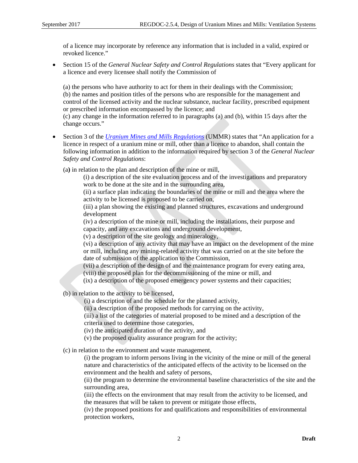of a licence may incorporate by reference any information that is included in a valid, expired or revoked licence"

 Section 15 of the *General Nuclear Safety and Control Regulations* states that "Every applicant for a licence and every licensee shall notify the Commission of

(a) the persons who have authority to act for them in their dealings with the Commission; (b) the names and position titles of the persons who are responsible for the management and control of the licensed activity and the nuclear substance, nuclear facility, prescribed equipment or prescribed information encompassed by the licence; and

(c) any change in the information referred to in paragraphs (a) and (b), within 15 days after the change occurs."

 Section 3 of the *Uranium Mines and Mills Regulations* (UMMR) states that "An application for a licence in respect of a uranium mine or mill, other than a licence to abandon, shall contain the following information in addition to the information required by section 3 of the *General Nuclear Safety and Control Regulations*:

(a**)** in relation to the plan and description of the mine or mill,

(i) a description of the site evaluation process and of the investigations and preparatory work to be done at the site and in the surrounding area,

(ii) a surface plan indicating the boundaries of the mine or mill and the area where the activity to be licensed is proposed to be carried on,

(iii) a plan showing the existing and planned structures, excavations and underground development

(iv) a description of the mine or mill, including the installations, their purpose and capacity, and any excavations and underground development,

(v) a description of the site geology and mineralogy,

(vi) a description of any activity that may have an impact on the development of the mine or mill, including any mining-related activity that was carried on at the site before the date of submission of the application to the Commission,

(vii) a description of the design of and the maintenance program for every eating area,

(viii) the proposed plan for the decommissioning of the mine or mill, and

(ix) a description of the proposed emergency power systems and their capacities;

(b) in relation to the activity to be licensed,

(i) a description of and the schedule for the planned activity,

(ii) a description of the proposed methods for carrying on the activity,

(iii) a list of the categories of material proposed to be mined and a description of the criteria used to determine those categories,

(iv) the anticipated duration of the activity, and

(v) the proposed quality assurance program for the activity;

(c) in relation to the environment and waste management,

(i) the program to inform persons living in the vicinity of the mine or mill of the general nature and characteristics of the anticipated effects of the activity to be licensed on the environment and the health and safety of persons,

(ii) the program to determine the environmental baseline characteristics of the site and the surrounding area,

(iii) the effects on the environment that may result from the activity to be licensed, and the measures that will be taken to prevent or mitigate those effects,

(iv) the proposed positions for and qualifications and responsibilities of environmental protection workers,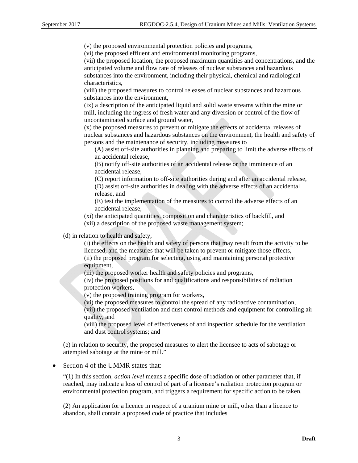(v) the proposed environmental protection policies and programs,

(vi) the proposed effluent and environmental monitoring programs,

(vii) the proposed location, the proposed maximum quantities and concentrations, and the anticipated volume and flow rate of releases of nuclear substances and hazardous substances into the environment, including their physical, chemical and radiological characteristics,

(viii) the proposed measures to control releases of nuclear substances and hazardous substances into the environment,

(ix) a description of the anticipated liquid and solid waste streams within the mine or mill, including the ingress of fresh water and any diversion or control of the flow of uncontaminated surface and ground water,

(x) the proposed measures to prevent or mitigate the effects of accidental releases of nuclear substances and hazardous substances on the environment, the health and safety of persons and the maintenance of security, including measures to

(A) assist off-site authorities in planning and preparing to limit the adverse effects of an accidental release,

(B) notify off-site authorities of an accidental release or the imminence of an accidental release,

(C) report information to off-site authorities during and after an accidental release,

(D) assist off-site authorities in dealing with the adverse effects of an accidental release, and

(E) test the implementation of the measures to control the adverse effects of an accidental release,

(xi) the anticipated quantities, composition and characteristics of backfill, and

(xii) a description of the proposed waste management system;

(d) in relation to health and safety,

(i) the effects on the health and safety of persons that may result from the activity to be licensed, and the measures that will be taken to prevent or mitigate those effects, (ii) the proposed program for selecting, using and maintaining personal protective equipment,

(iii) the proposed worker health and safety policies and programs,

(iv) the proposed positions for and qualifications and responsibilities of radiation protection workers,

(v) the proposed training program for workers,

(vi) the proposed measures to control the spread of any radioactive contamination,

(vii) the proposed ventilation and dust control methods and equipment for controlling air quality, and

(viii) the proposed level of effectiveness of and inspection schedule for the ventilation and dust control systems; and

(e) in relation to security, the proposed measures to alert the licensee to acts of sabotage or attempted sabotage at the mine or mill."

#### • Section 4 of the UMMR states that:

"(1) In this section, *action level* means a specific dose of radiation or other parameter that, if reached, may indicate a loss of control of part of a licensee's radiation protection program or environmental protection program, and triggers a requirement for specific action to be taken.

(2) An application for a licence in respect of a uranium mine or mill, other than a licence to abandon, shall contain a proposed code of practice that includes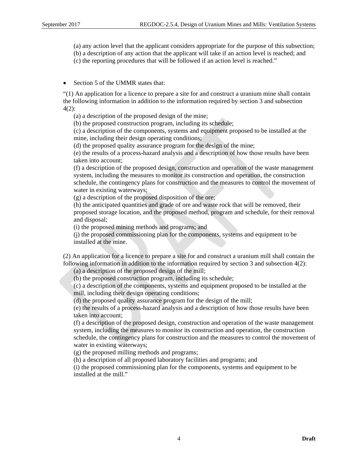- (a) any action level that the applicant considers appropriate for the purpose of this subsection;
- (b) a description of any action that the applicant will take if an action level is reached; and
- (c) the reporting procedures that will be followed if an action level is reached."
- Section 5 of the UMMR states that:

"(1) An application for a licence to prepare a site for and construct a uranium mine shall contain the following information in addition to the information required by section 3 and subsection 4(2):

(a) a description of the proposed design of the mine;

(b) the proposed construction program, including its schedule;

(c) a description of the components, systems and equipment proposed to be installed at the mine, including their design operating conditions;

(d) the proposed quality assurance program for the design of the mine;

(e) the results of a process-hazard analysis and a description of how those results have been taken into account;

(f) a description of the proposed design, construction and operation of the waste management system, including the measures to monitor its construction and operation, the construction schedule, the contingency plans for construction and the measures to control the movement of water in existing waterways;

(g) a description of the proposed disposition of the ore;

(h) the anticipated quantities and grade of ore and waste rock that will be removed, their proposed storage location, and the proposed method, program and schedule, for their removal and disposal;

(i) the proposed mining methods and programs; and

(j) the proposed commissioning plan for the components, systems and equipment to be installed at the mine.

(2) An application for a licence to prepare a site for and construct a uranium mill shall contain the following information in addition to the information required by section  $3$  and subsection  $4(2)$ :

(a) a description of the proposed design of the mill;

(b) the proposed construction program, including its schedule;

(c) a description of the components, systems and equipment proposed to be installed at the mill, including their design operating conditions;

(d) the proposed quality assurance program for the design of the mill;

(e) the results of a process-hazard analysis and a description of how those results have been taken into account;

(f) a description of the proposed design, construction and operation of the waste management system, including the measures to monitor its construction and operation, the construction schedule, the contingency plans for construction and the measures to control the movement of water in existing waterways;

(g) the proposed milling methods and programs;

(h) a description of all proposed laboratory facilities and programs; and

(i) the proposed commissioning plan for the components, systems and equipment to be installed at the mill."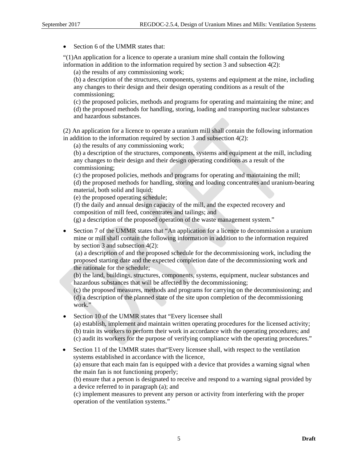• Section 6 of the UMMR states that:

"(1)An application for a licence to operate a uranium mine shall contain the following information in addition to the information required by section 3 and subsection 4(2):

(a) the results of any commissioning work;

(b) a description of the structures, components, systems and equipment at the mine, including any changes to their design and their design operating conditions as a result of the commissioning;

(c) the proposed policies, methods and programs for operating and maintaining the mine; and (d) the proposed methods for handling, storing, loading and transporting nuclear substances and hazardous substances.

(2) An application for a licence to operate a uranium mill shall contain the following information in addition to the information required by section 3 and subsection 4(2):

(a) the results of any commissioning work;

(b) a description of the structures, components, systems and equipment at the mill, including any changes to their design and their design operating conditions as a result of the commissioning;

(c) the proposed policies, methods and programs for operating and maintaining the mill; (d) the proposed methods for handling, storing and loading concentrates and uranium-bearing material, both solid and liquid;

(e) the proposed operating schedule;

(f) the daily and annual design capacity of the mill, and the expected recovery and composition of mill feed, concentrates and tailings; and

(g) a description of the proposed operation of the waste management system."

 Section 7 of the UMMR states that "An application for a licence to decommission a uranium mine or mill shall contain the following information in addition to the information required by section 3 and subsection 4(2):

 (a) a description of and the proposed schedule for the decommissioning work, including the proposed starting date and the expected completion date of the decommissioning work and the rationale for the schedule;

(b) the land, buildings, structures, components, systems, equipment, nuclear substances and hazardous substances that will be affected by the decommissioning;

(c) the proposed measures, methods and programs for carrying on the decommissioning; and (d) a description of the planned state of the site upon completion of the decommissioning work."

• Section 10 of the UMMR states that "Every licensee shall" (a) establish, implement and maintain written operating procedures for the licensed activity; (b) train its workers to perform their work in accordance with the operating procedures; and (c) audit its workers for the purpose of verifying compliance with the operating procedures."

• Section 11 of the UMMR states that Every licensee shall, with respect to the ventilation systems established in accordance with the licence, (a) ensure that each main fan is equipped with a device that provides a warning signal when the main fan is not functioning properly; (b) ensure that a person is designated to receive and respond to a warning signal provided by

a device referred to in paragraph (a); and (c) implement measures to prevent any person or activity from interfering with the proper

operation of the ventilation systems."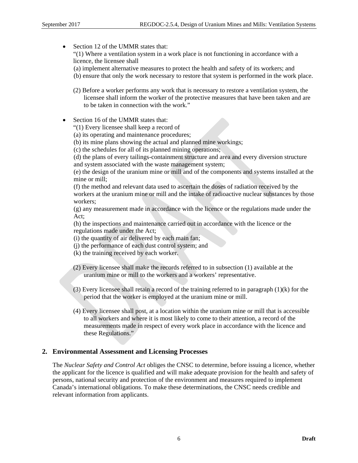• Section 12 of the UMMR states that: "(1) Where a ventilation system in a work place is not functioning in accordance with a licence, the licensee shall (a) implement alternative measures to protect the health and safety of its workers; and (b) ensure that only the work necessary to restore that system is performed in the work place. (2) Before a worker performs any work that is necessary to restore a ventilation system, the licensee shall inform the worker of the protective measures that have been taken and are to be taken in connection with the work." • Section 16 of the UMMR states that: "(1) Every licensee shall keep a record of (a) its operating and maintenance procedures;

(b) its mine plans showing the actual and planned mine workings;

(c) the schedules for all of its planned mining operations;

(d) the plans of every tailings-containment structure and area and every diversion structure and system associated with the waste management system;

(e) the design of the uranium mine or mill and of the components and systems installed at the mine or mill;

(f) the method and relevant data used to ascertain the doses of radiation received by the workers at the uranium mine or mill and the intake of radioactive nuclear substances by those workers;

(g) any measurement made in accordance with the licence or the regulations made under the Act;

(h) the inspections and maintenance carried out in accordance with the licence or the regulations made under the Act;

- (i) the quantity of air delivered by each main fan;
- (j) the performance of each dust control system; and
- (k) the training received by each worker.
- (2) Every licensee shall make the records referred to in subsection (1) available at the uranium mine or mill to the workers and a workers' representative.
- (3) Every licensee shall retain a record of the training referred to in paragraph (1)(k) for the period that the worker is employed at the uranium mine or mill.
- (4) Every licensee shall post, at a location within the uranium mine or mill that is accessible to all workers and where it is most likely to come to their attention, a record of the measurements made in respect of every work place in accordance with the licence and these Regulations."

#### **2. Environmental Assessment and Licensing Processes**

The *Nuclear Safety and Control Act* obliges the CNSC to determine, before issuing a licence, whether the applicant for the licence is qualified and will make adequate provision for the health and safety of persons, national security and protection of the environment and measures required to implement Canada's international obligations. To make these determinations, the CNSC needs credible and relevant information from applicants.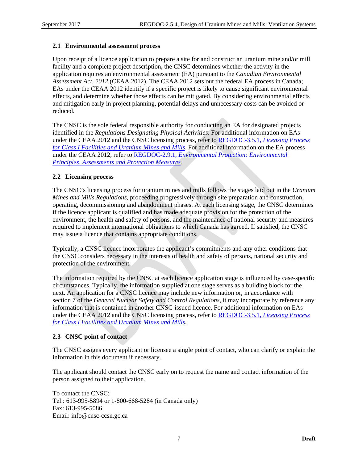#### **2.1 Environmental assessment process**

Upon receipt of a licence application to prepare a site for and construct an uranium mine and/or mill facility and a complete project description, the CNSC determines whether the activity in the application requires an environmental assessment (EA) pursuant to the *Canadian Environmental Assessment Act*, *2012* (CEAA 2012). The CEAA 2012 sets out the federal EA process in Canada; EAs under the CEAA 2012 identify if a specific project is likely to cause significant environmental effects, and determine whether those effects can be mitigated. By considering environmental effects and mitigation early in project planning, potential delays and unnecessary costs can be avoided or reduced.

The CNSC is the sole federal responsible authority for conducting an EA for designated projects identified in the *Regulations Designating Physical Activities*. For additional information on EAs under the CEAA 2012 and the CNSC licensing process, refer to REGDOC-3.5.1, *Licensing Process for Class I Facilities and Uranium Mines and Mills*. For additional information on the EA process under the CEAA 2012, refer to REGDOC-2.9.1, *Environmental Protection: Environmental Principles, Assessments and Protection Measures*.

#### **2.2 Licensing process**

The CNSC's licensing process for uranium mines and mills follows the stages laid out in the *Uranium Mines and Mills Regulations*, proceeding progressively through site preparation and construction, operating, decommissioning and abandonment phases. At each licensing stage, the CNSC determines if the licence applicant is qualified and has made adequate provision for the protection of the environment, the health and safety of persons, and the maintenance of national security and measures required to implement international obligations to which Canada has agreed. If satisfied, the CNSC may issue a licence that contains appropriate conditions.

Typically, a CNSC licence incorporates the applicant's commitments and any other conditions that the CNSC considers necessary in the interests of health and safety of persons, national security and protection of the environment.

The information required by the CNSC at each licence application stage is influenced by case-specific circumstances. Typically, the information supplied at one stage serves as a building block for the next. An application for a CNSC licence may include new information or, in accordance with section 7 of the *General Nuclear Safety and Control Regulations*, it may incorporate by reference any information that is contained in another CNSC-issued licence. For additional information on EAs under the CEAA 2012 and the CNSC licensing process, refer to REGDOC-3.5.1, *Licensing Process for Class I Facilities and Uranium Mines and Mills*.

#### **2.3 CNSC point of contact**

The CNSC assigns every applicant or licensee a single point of contact, who can clarify or explain the information in this document if necessary.

The applicant should contact the CNSC early on to request the name and contact information of the person assigned to their application.

To contact the CNSC: Tel.: 613-995-5894 or 1-800-668-5284 (in Canada only) Fax: 613-995-5086 Email: info@cnsc-ccsn.gc.ca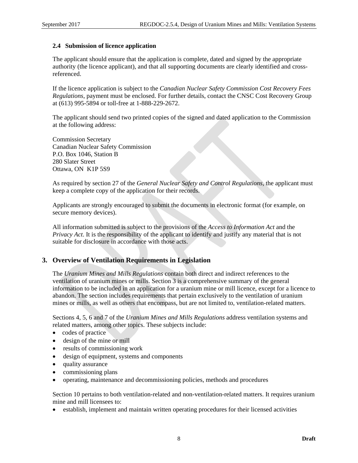#### **2.4 Submission of licence application**

The applicant should ensure that the application is complete, dated and signed by the appropriate authority (the licence applicant), and that all supporting documents are clearly identified and crossreferenced.

If the licence application is subject to the *Canadian Nuclear Safety Commission Cost Recovery Fees Regulations*, payment must be enclosed. For further details, contact the CNSC Cost Recovery Group at (613) 995-5894 or toll-free at 1-888-229-2672.

The applicant should send two printed copies of the signed and dated application to the Commission at the following address:

Commission Secretary Canadian Nuclear Safety Commission P.O. Box 1046, Station B 280 Slater Street Ottawa, ON K1P 5S9

As required by section 27 of the *General Nuclear Safety and Control Regulations*, the applicant must keep a complete copy of the application for their records.

Applicants are strongly encouraged to submit the documents in electronic format (for example, on secure memory devices).

All information submitted is subject to the provisions of the *Access to Information Act* and the *Privacy Act*. It is the responsibility of the applicant to identify and justify any material that is not suitable for disclosure in accordance with those acts.

#### **3. Overview of Ventilation Requirements in Legislation**

The *Uranium Mines and Mills Regulations* contain both direct and indirect references to the ventilation of uranium mines or mills. Section 3 is a comprehensive summary of the general information to be included in an application for a uranium mine or mill licence, except for a licence to abandon. The section includes requirements that pertain exclusively to the ventilation of uranium mines or mills, as well as others that encompass, but are not limited to, ventilation-related matters.

Sections 4, 5, 6 and 7 of the *Uranium Mines and Mills Regulations* address ventilation systems and related matters, among other topics. These subjects include:

- codes of practice
- design of the mine or mill
- results of commissioning work
- design of equipment, systems and components
- quality assurance
- commissioning plans
- operating, maintenance and decommissioning policies, methods and procedures

Section 10 pertains to both ventilation-related and non-ventilation-related matters. It requires uranium mine and mill licensees to:

establish, implement and maintain written operating procedures for their licensed activities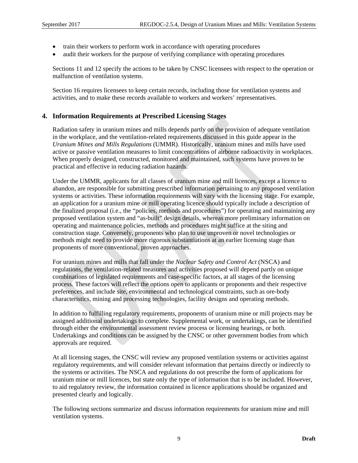- train their workers to perform work in accordance with operating procedures
- audit their workers for the purpose of verifying compliance with operating procedures

Sections 11 and 12 specify the actions to be taken by CNSC licensees with respect to the operation or malfunction of ventilation systems.

Section 16 requires licensees to keep certain records, including those for ventilation systems and activities, and to make these records available to workers and workers' representatives.

#### **4. Information Requirements at Prescribed Licensing Stages**

Radiation safety in uranium mines and mills depends partly on the provision of adequate ventilation in the workplace, and the ventilation-related requirements discussed in this guide appear in the *Uranium Mines and Mills Regulations* (UMMR). Historically, uranium mines and mills have used active or passive ventilation measures to limit concentrations of airborne radioactivity in workplaces. When properly designed, constructed, monitored and maintained, such systems have proven to be practical and effective in reducing radiation hazards.

Under the UMMR*,* applicants for all classes of uranium mine and mill licences, except a licence to abandon, are responsible for submitting prescribed information pertaining to any proposed ventilation systems or activities. These information requirements will vary with the licensing stage. For example, an application for a uranium mine or mill operating licence should typically include a description of the finalized proposal (i.e., the "policies, methods and procedures") for operating and maintaining any proposed ventilation system and "as-built" design details, whereas more preliminary information on operating and maintenance policies, methods and procedures might suffice at the siting and construction stage. Conversely, proponents who plan to use unproven or novel technologies or methods might need to provide more rigorous substantiations at an earlier licensing stage than proponents of more conventional, proven approaches.

For uranium mines and mills that fall under the *Nuclear Safety and Control Act* (NSCA) and regulations, the ventilation-related measures and activities proposed will depend partly on unique combinations of legislated requirements and case-specific factors, at all stages of the licensing process. These factors will reflect the options open to applicants or proponents and their respective preferences, and include site, environmental and technological constraints, such as ore-body characteristics, mining and processing technologies, facility designs and operating methods.

In addition to fulfilling regulatory requirements, proponents of uranium mine or mill projects may be assigned additional undertakings to complete. Supplemental work, or undertakings, can be identified through either the environmental assessment review process or licensing hearings, or both. Undertakings and conditions can be assigned by the CNSC or other government bodies from which approvals are required.

At all licensing stages, the CNSC will review any proposed ventilation systems or activities against regulatory requirements, and will consider relevant information that pertains directly or indirectly to the systems or activities. The NSCA and regulations do not prescribe the form of applications for uranium mine or mill licences, but state only the type of information that is to be included. However, to aid regulatory review, the information contained in licence applications should be organized and presented clearly and logically.

The following sections summarize and discuss information requirements for uranium mine and mill ventilation systems.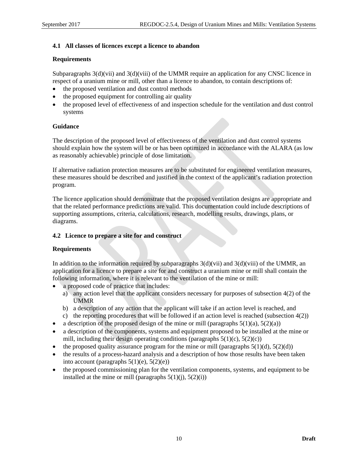#### **4.1 All classes of licences except a licence to abandon**

#### **Requirements**

Subparagraphs  $3(d)(vii)$  and  $3(d)(viii)$  of the UMMR require an application for any CNSC licence in respect of a uranium mine or mill, other than a licence to abandon, to contain descriptions of:

- the proposed ventilation and dust control methods
- the proposed equipment for controlling air quality
- the proposed level of effectiveness of and inspection schedule for the ventilation and dust control systems

#### **Guidance**

The description of the proposed level of effectiveness of the ventilation and dust control systems should explain how the system will be or has been optimized in accordance with the ALARA (as low as reasonably achievable) principle of dose limitation.

If alternative radiation protection measures are to be substituted for engineered ventilation measures, these measures should be described and justified in the context of the applicant's radiation protection program.

The licence application should demonstrate that the proposed ventilation designs are appropriate and that the related performance predictions are valid. This documentation could include descriptions of supporting assumptions, criteria, calculations, research, modelling results, drawings, plans, or diagrams.

#### **4.2 Licence to prepare a site for and construct**

#### **Requirements**

In addition to the information required by subparagraphs  $3(d)(vi)$  and  $3(d)(viii)$  of the UMMR, an application for a licence to prepare a site for and construct a uranium mine or mill shall contain the following information, where it is relevant to the ventilation of the mine or mill:

- a proposed code of practice that includes:
	- a) any action level that the applicant considers necessary for purposes of subsection 4(2) of the UMMR
	- b) a description of any action that the applicant will take if an action level is reached, and
	- c) the reporting procedures that will be followed if an action level is reached (subsection  $4(2)$ )
- a description of the proposed design of the mine or mill (paragraphs  $5(1)(a)$ ,  $5(2)(a)$ )
- a description of the components, systems and equipment proposed to be installed at the mine or mill, including their design operating conditions (paragraphs  $5(1)(c)$ ,  $5(2)(c)$ )
- the proposed quality assurance program for the mine or mill (paragraphs  $5(1)(d)$ ,  $5(2)(d)$ )
- the results of a process-hazard analysis and a description of how those results have been taken into account (paragraphs  $5(1)(e)$ ,  $5(2)(e)$ )
- the proposed commissioning plan for the ventilation components, systems, and equipment to be installed at the mine or mill (paragraphs  $5(1)(i)$ ,  $5(2)(i)$ )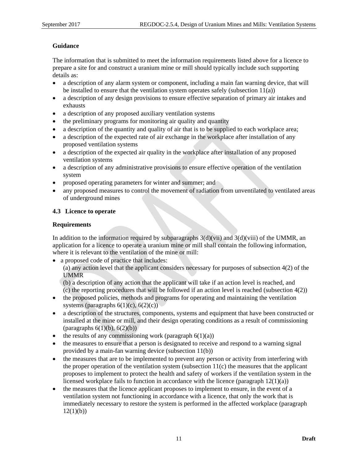#### **Guidance**

The information that is submitted to meet the information requirements listed above for a licence to prepare a site for and construct a uranium mine or mill should typically include such supporting details as:

- a description of any alarm system or component, including a main fan warning device, that will be installed to ensure that the ventilation system operates safely (subsection 11(a))
- a description of any design provisions to ensure effective separation of primary air intakes and exhausts
- a description of any proposed auxiliary ventilation systems
- the preliminary programs for monitoring air quality and quantity
- a description of the quantity and quality of air that is to be supplied to each workplace area;
- a description of the expected rate of air exchange in the workplace after installation of any proposed ventilation systems
- a description of the expected air quality in the workplace after installation of any proposed ventilation systems
- a description of any administrative provisions to ensure effective operation of the ventilation system
- proposed operating parameters for winter and summer; and
- any proposed measures to control the movement of radiation from unventilated to ventilated areas of underground mines

#### **4.3 Licence to operate**

#### **Requirements**

In addition to the information required by subparagraphs  $3(d)(vi)$  and  $3(d)(viii)$  of the UMMR, an application for a licence to operate a uranium mine or mill shall contain the following information, where it is relevant to the ventilation of the mine or mill:

a proposed code of practice that includes:

(a) any action level that the applicant considers necessary for purposes of subsection 4(2) of the UMMR

(b) a description of any action that the applicant will take if an action level is reached, and (c) the reporting procedures that will be followed if an action level is reached (subsection  $4(2)$ )

- the proposed policies, methods and programs for operating and maintaining the ventilation systems (paragraphs  $6(1)(c)$ ,  $6(2)(c)$ )
- a description of the structures, components, systems and equipment that have been constructed or installed at the mine or mill, and their design operating conditions as a result of commissioning (paragraphs  $6(1)(b)$ ,  $6(2)(b)$ )
- the results of any commissioning work (paragraph  $6(1)(a)$ )
- the measures to ensure that a person is designated to receive and respond to a warning signal provided by a main-fan warning device (subsection 11(b))
- the measures that are to be implemented to prevent any person or activity from interfering with the proper operation of the ventilation system (subsection 11(c) the measures that the applicant proposes to implement to protect the health and safety of workers if the ventilation system in the licensed workplace fails to function in accordance with the licence (paragraph  $12(1)(a)$ )
- the measures that the licence applicant proposes to implement to ensure, in the event of a ventilation system not functioning in accordance with a licence, that only the work that is immediately necessary to restore the system is performed in the affected workplace (paragraph  $12(1)(b)$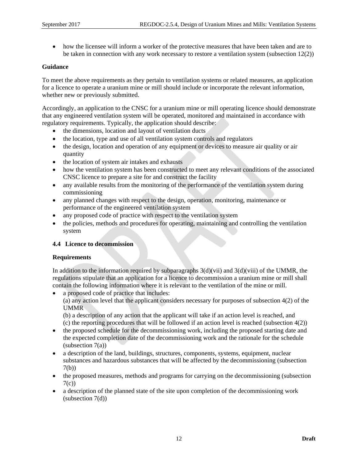how the licensee will inform a worker of the protective measures that have been taken and are to be taken in connection with any work necessary to restore a ventilation system (subsection 12(2))

#### **Guidance**

To meet the above requirements as they pertain to ventilation systems or related measures, an application for a licence to operate a uranium mine or mill should include or incorporate the relevant information, whether new or previously submitted.

Accordingly, an application to the CNSC for a uranium mine or mill operating licence should demonstrate that any engineered ventilation system will be operated, monitored and maintained in accordance with regulatory requirements. Typically, the application should describe:

- the dimensions, location and layout of ventilation ducts
- the location, type and use of all ventilation system controls and regulators
- the design, location and operation of any equipment or devices to measure air quality or air quantity
- the location of system air intakes and exhausts
- how the ventilation system has been constructed to meet any relevant conditions of the associated CNSC licence to prepare a site for and construct the facility
- any available results from the monitoring of the performance of the ventilation system during commissioning
- any planned changes with respect to the design, operation, monitoring, maintenance or performance of the engineered ventilation system
- any proposed code of practice with respect to the ventilation system
- the policies, methods and procedures for operating, maintaining and controlling the ventilation system

#### **4.4 Licence to decommission**

#### **Requirements**

In addition to the information required by subparagraphs  $3(d)(vii)$  and  $3(d)(viii)$  of the UMMR, the regulations stipulate that an application for a licence to decommission a uranium mine or mill shall contain the following information where it is relevant to the ventilation of the mine or mill.

• a proposed code of practice that includes:

(a) any action level that the applicant considers necessary for purposes of subsection 4(2) of the UMMR

(b) a description of any action that the applicant will take if an action level is reached, and (c) the reporting procedures that will be followed if an action level is reached (subsection  $4(2)$ )

- the proposed schedule for the decommissioning work, including the proposed starting date and the expected completion date of the decommissioning work and the rationale for the schedule  $subsection 7(a)$
- a description of the land, buildings, structures, components, systems, equipment, nuclear substances and hazardous substances that will be affected by the decommissioning (subsection 7(b))
- the proposed measures, methods and programs for carrying on the decommissioning (subsection  $7(c)$
- a description of the planned state of the site upon completion of the decommissioning work (subsection 7(d))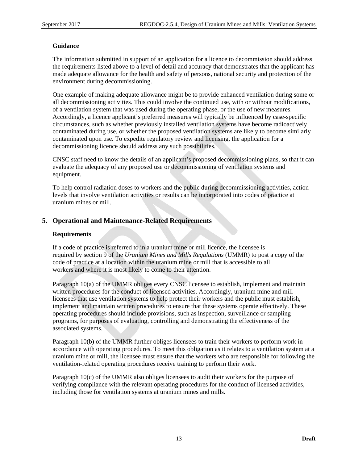#### **Guidance**

The information submitted in support of an application for a licence to decommission should address the requirements listed above to a level of detail and accuracy that demonstrates that the applicant has made adequate allowance for the health and safety of persons, national security and protection of the environment during decommissioning.

One example of making adequate allowance might be to provide enhanced ventilation during some or all decommissioning activities. This could involve the continued use, with or without modifications, of a ventilation system that was used during the operating phase, or the use of new measures. Accordingly, a licence applicant's preferred measures will typically be influenced by case-specific circumstances, such as whether previously installed ventilation systems have become radioactively contaminated during use, or whether the proposed ventilation systems are likely to become similarly contaminated upon use. To expedite regulatory review and licensing, the application for a decommissioning licence should address any such possibilities.

CNSC staff need to know the details of an applicant's proposed decommissioning plans, so that it can evaluate the adequacy of any proposed use or decommissioning of ventilation systems and equipment.

To help control radiation doses to workers and the public during decommissioning activities, action levels that involve ventilation activities or results can be incorporated into codes of practice at uranium mines or mill.

#### **5. Operational and Maintenance-Related Requirements**

#### **Requirements**

If a code of practice is referred to in a uranium mine or mill licence, the licensee is required by section 9 of the *Uranium Mines and Mills Regulations* (UMMR) to post a copy of the code of practice at a location within the uranium mine or mill that is accessible to all workers and where it is most likely to come to their attention.

Paragraph 10(a) of the UMMR obliges every CNSC licensee to establish, implement and maintain written procedures for the conduct of licensed activities. Accordingly, uranium mine and mill licensees that use ventilation systems to help protect their workers and the public must establish, implement and maintain written procedures to ensure that these systems operate effectively. These operating procedures should include provisions, such as inspection, surveillance or sampling programs, for purposes of evaluating, controlling and demonstrating the effectiveness of the associated systems.

Paragraph 10(b) of the UMMR further obliges licensees to train their workers to perform work in accordance with operating procedures. To meet this obligation as it relates to a ventilation system at a uranium mine or mill, the licensee must ensure that the workers who are responsible for following the ventilation-related operating procedures receive training to perform their work.

Paragraph 10(c) of the UMMR also obliges licensees to audit their workers for the purpose of verifying compliance with the relevant operating procedures for the conduct of licensed activities, including those for ventilation systems at uranium mines and mills.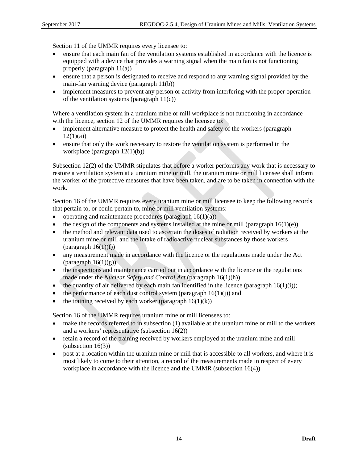Section 11 of the UMMR requires every licensee to:

- ensure that each main fan of the ventilation systems established in accordance with the licence is equipped with a device that provides a warning signal when the main fan is not functioning properly (paragraph 11(a))
- ensure that a person is designated to receive and respond to any warning signal provided by the main-fan warning device (paragraph 11(b))
- implement measures to prevent any person or activity from interfering with the proper operation of the ventilation systems (paragraph  $11(c)$ )

Where a ventilation system in a uranium mine or mill workplace is not functioning in accordance with the licence, section 12 of the UMMR requires the licensee to:

- implement alternative measure to protect the health and safety of the workers (paragraph  $12(1)(a)$
- ensure that only the work necessary to restore the ventilation system is performed in the workplace (paragraph 12(1)(b))

Subsection 12(2) of the UMMR stipulates that before a worker performs any work that is necessary to restore a ventilation system at a uranium mine or mill, the uranium mine or mill licensee shall inform the worker of the protective measures that have been taken, and are to be taken in connection with the work.

Section 16 of the UMMR requires every uranium mine or mill licensee to keep the following records that pertain to, or could pertain to, mine or mill ventilation systems:

- operating and maintenance procedures (paragraph  $16(1)(a)$ )
- $\bullet$  the design of the components and systems installed at the mine or mill (paragraph 16(1)(e))
- the method and relevant data used to ascertain the doses of radiation received by workers at the uranium mine or mill and the intake of radioactive nuclear substances by those workers (paragraph  $16(1)(f)$ )
- any measurement made in accordance with the licence or the regulations made under the Act (paragraph  $16(1)(g)$ )
- the inspections and maintenance carried out in accordance with the licence or the regulations made under the *Nuclear Safety and Control Act* (paragraph 16(1)(h))
- the quantity of air delivered by each main fan identified in the licence (paragraph  $16(1)(i)$ );
- the performance of each dust control system (paragraph  $16(1)(i)$ ) and
- the training received by each worker (paragraph  $16(1)(k)$ )

Section 16 of the UMMR requires uranium mine or mill licensees to:

- make the records referred to in subsection (1) available at the uranium mine or mill to the workers and a workers' representative (subsection 16(2))
- retain a record of the training received by workers employed at the uranium mine and mill (subsection 16(3))
- post at a location within the uranium mine or mill that is accessible to all workers, and where it is most likely to come to their attention, a record of the measurements made in respect of every workplace in accordance with the licence and the UMMR (subsection 16(4))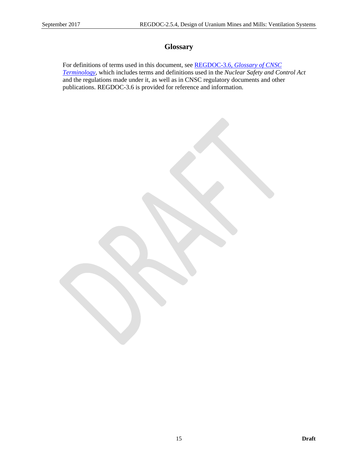# **Glossary**

For definitions of terms used in this document, see REGDOC-3.6, *Glossary of CNSC Terminology*, which includes terms and definitions used in the *Nuclear Safety and Control Act* and the regulations made under it, as well as in CNSC regulatory documents and other publications. REGDOC-3.6 is provided for reference and information.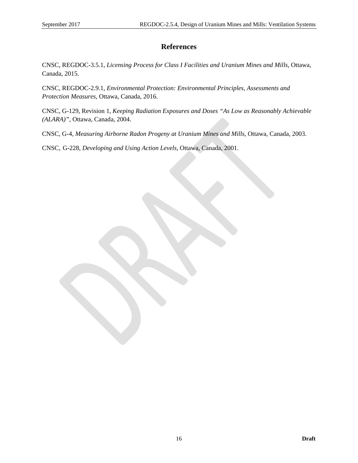### **References**

CNSC, REGDOC-3.5.1, *Licensing Process for Class I Facilities and Uranium Mines and Mills,* Ottawa, Canada, 2015.

CNSC, REGDOC-2.9.1, *Environmental Protection: Environmental Principles, Assessments and Protection Measures*, Ottawa, Canada, 2016.

CNSC, G-129, Revision 1, *Keeping Radiation Exposures and Doses "As Low as Reasonably Achievable (ALARA)"*, Ottawa, Canada, 2004.

CNSC, G-4, *Measuring Airborne Radon Progeny at Uranium Mines and Mills*, Ottawa, Canada, 2003.

CNSC, G-228, *Developing and Using Action Levels*, Ottawa, Canada, 2001.